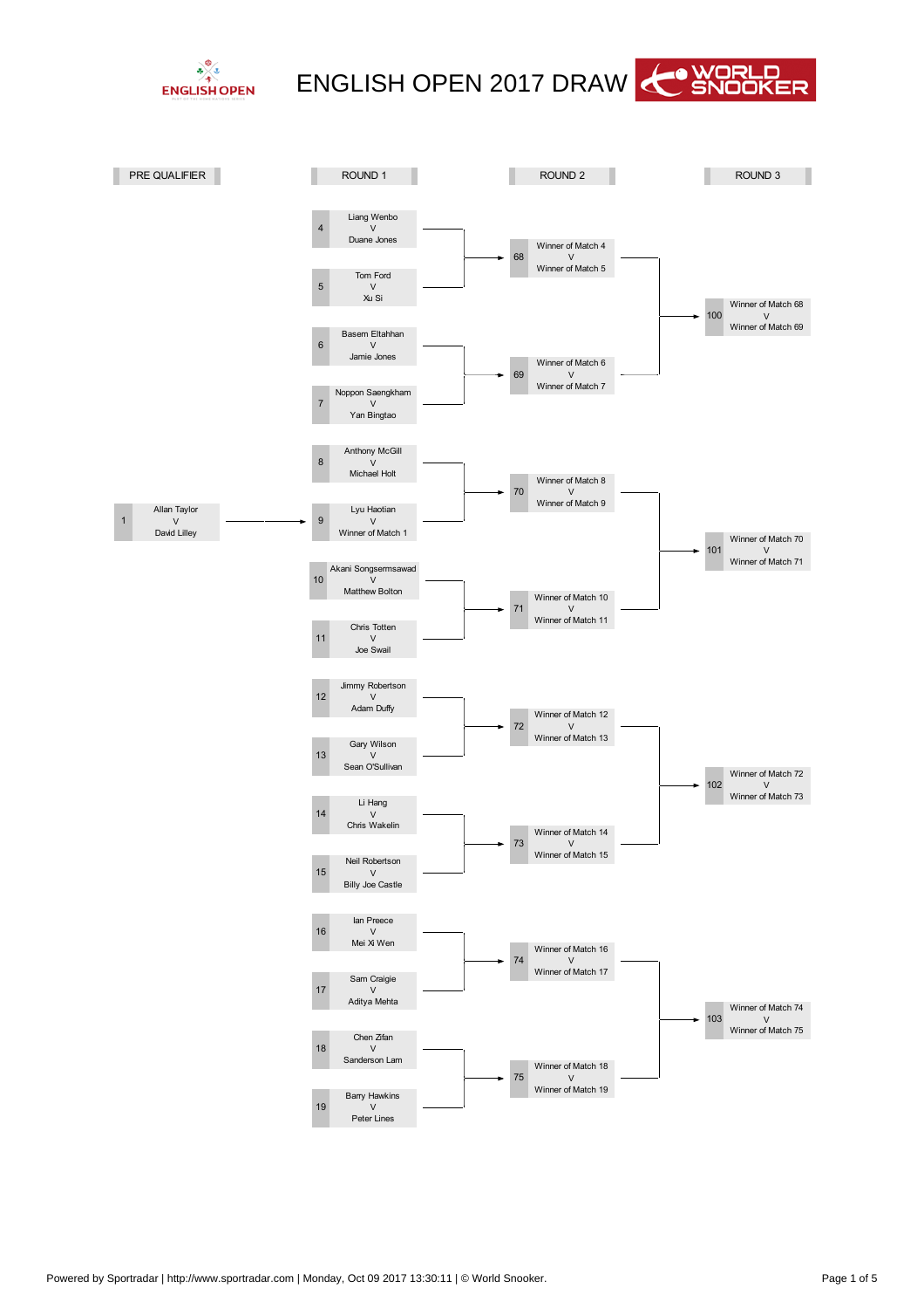



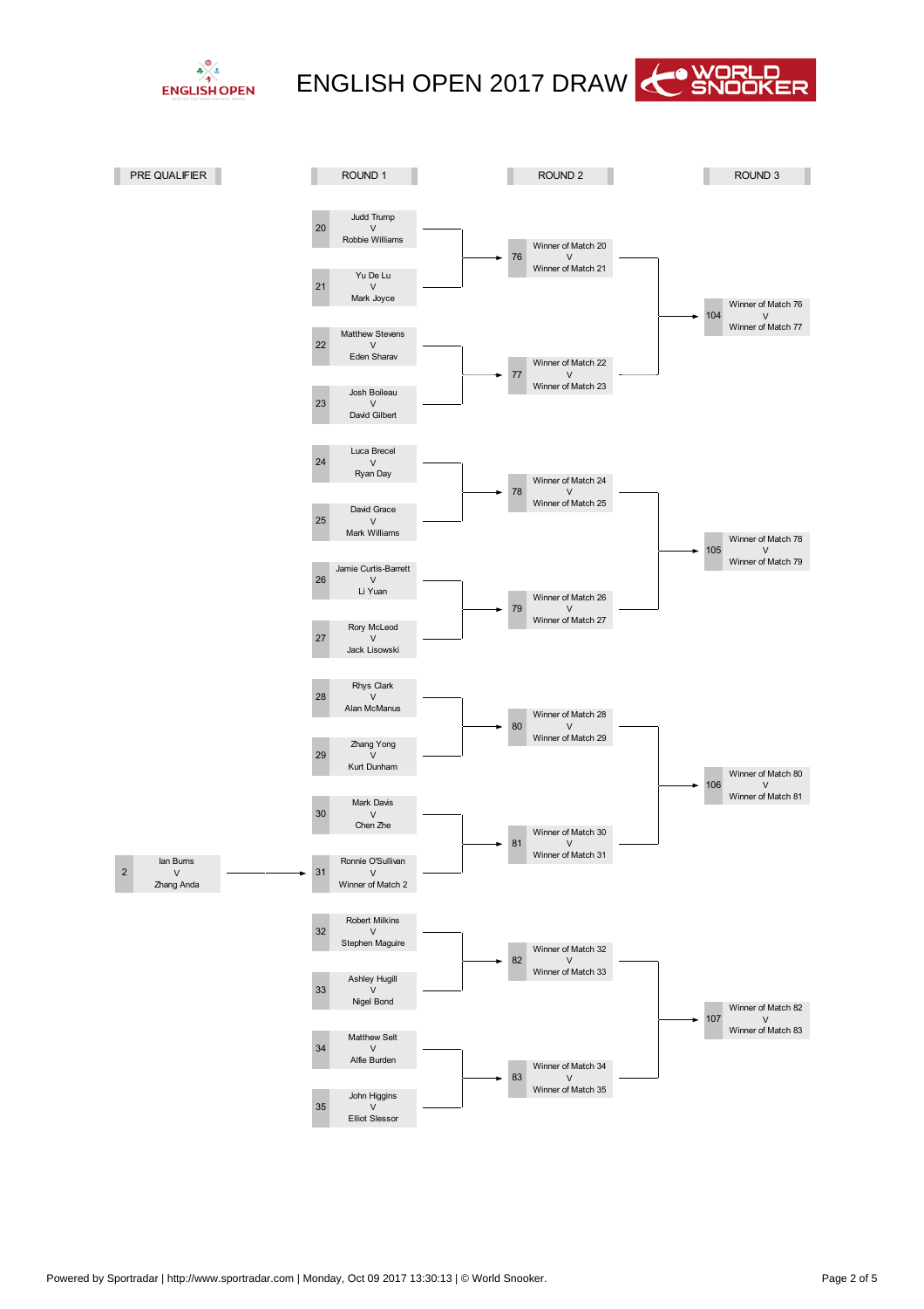



OUND<sub>1</sub> **NOUND 2** n T P E QUALIFIE ND 2 OUND 3 Judd Trump 20  $\vee$ Robbie illiams inner of Match 20  $\vee$ 76 inner of Match 21 Yu De Lu  $\overline{2}$  $\overline{V}$ Mark Joyce inner of Match 76  $04$  $\vee$ inner of Match 77 Matthew Stevens 22  $\vee$ Eden Sharav inner of Match 22  $\overline{V}$ - inner of Match 23 Josh Boileau 23  $\vee$ David Gilbert Luca Brecel 24  $\vee$ Ryan Day inner of Match 24  $\overline{V}$  inner of Match 25 David Grace 25  $\vee$ Mark illiams inner of Match 78 05 V inner of Match 79 Jamie Curtis-Barrett 26  $\overline{M}$ Li Yuan inner of Match 26 79 V<br>inner of Match 27 Rory McLeod 27  $\vee$ Jack Lisowski Rhys Clark 28  $\vee$ Alan McManus inner of Match 28 80  $\vee$ inner of Match 29 Zhang Yong<br>V 29 Kurt Dunham inner of Match 80 06  $\overline{V}$ inner of Match 81 Mark Davis ⊸າດ  $\overline{V}$ Chen Zhe inner of Match 30  $\overline{8}$  $\vee$ inner of Match 31 lan Bums Ronnie O'Sullivan  $\overline{2}$  $\overline{V}$  $\mathbf{3}$ V<br>inner of Match 2 Zhang Anda Robert Milkins 32  $\vee$ Stephen Maguire inner of Match 32 82  $\vee$ inner of Match 33 Ashley Hugill 33 Ŵ Nigel Bond inner of Match 82 07 V<br>inner of Match 83 Matthew Selt  $34$  $\vee$ Alfie Burden inner of Match 34 83  $\vee$ inner of Match 35 John Higgins 35  $\vee$ Elliot Slessor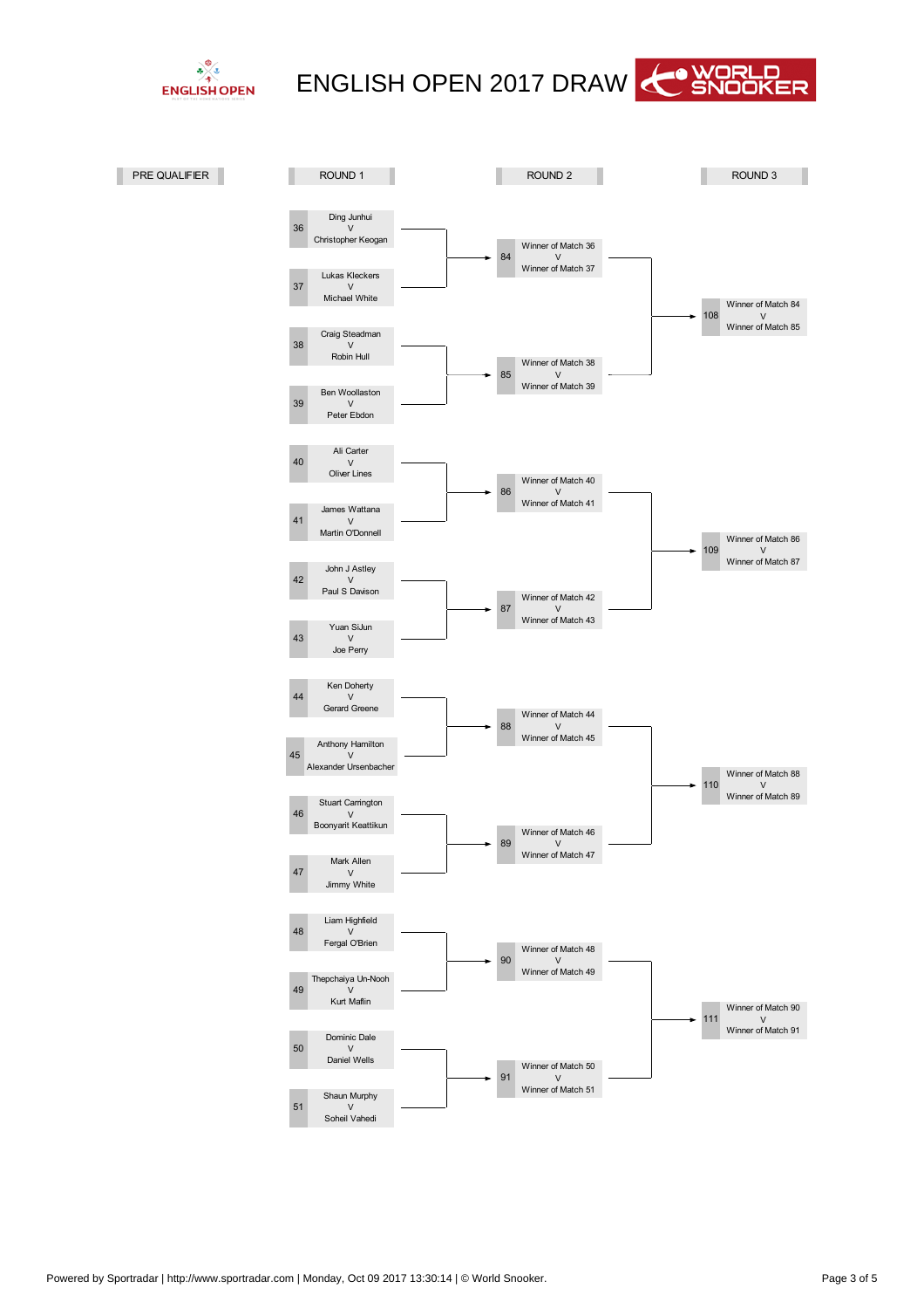



inner of Match 90  $\vee$ inner of Match 91 inner of Match 48 .<br>V inner of Match 49 g inner of Match 50  $\vee$ inner of Match 51  $\overline{\phantom{0}}$ inner of Match 88 V<br>inner of Match 89 88 inner of Match 44  $\vee$ inner of Match 45 89 inner of Match 46  $\vee$ inner of Match 47 09 inner of Match 86 V inner of Match 87 86 inner of Match 40  $\overline{V}$ inner of Match 41 87 inner of Match 42  $\vee$ inner of Match 43 inner of Match 84  $\vee$ inner of Match 85 84 inner of Match 36  $\vee$ inner of Match 37 85 inner of Match 38  $\overline{V}$ inner of Match 39 - Dominic Dale  $\vee$ Daniel ells  $\sqrt{5}$ Shaun Murphy  $\vee$ Soheil Vahedi 48 Liam Highfield  $\vee$ Fergal O'Brien 49 Thepchaiya Un-Nooh  $\tilde{v}$ Kurt Maflin  $\overline{AB}$ Stuart Carrington  $\vee$ Boonyarit Keattikun 47 Mark Allen  $\vee$ Jimmy hite  $44$ Ken Doherty  $\overline{V}$ Gerard Greene 45 Anthony Hamilton<br>V Alexander Ursenbacher  $42$ John J Astley  $\overline{V}$ Paul S Davison  $43$ Yuan SiJun  $\vee$ Joe Perry 40 Ali Carter  $\overline{\mathsf{v}}$ Oliver Lines  $\overline{4}$ James attana<br>V Martin O'Donnell 38 Craig Steadman  $\vee$ Robin Hull  $39$ Ben oollaston  $\vee$ Peter Ebdon 36 Ding Junhui<br>V Christopher Keogan  $37$ Lukas Kleckers  $\vee$ Michael hite P E QUALIFIE and the state of the state of the state of the state of the state of the state of the state of the state of the state of the state of the state of the state of the state of the state of the state of the state of the state OUND 2 OUND<sub>3</sub>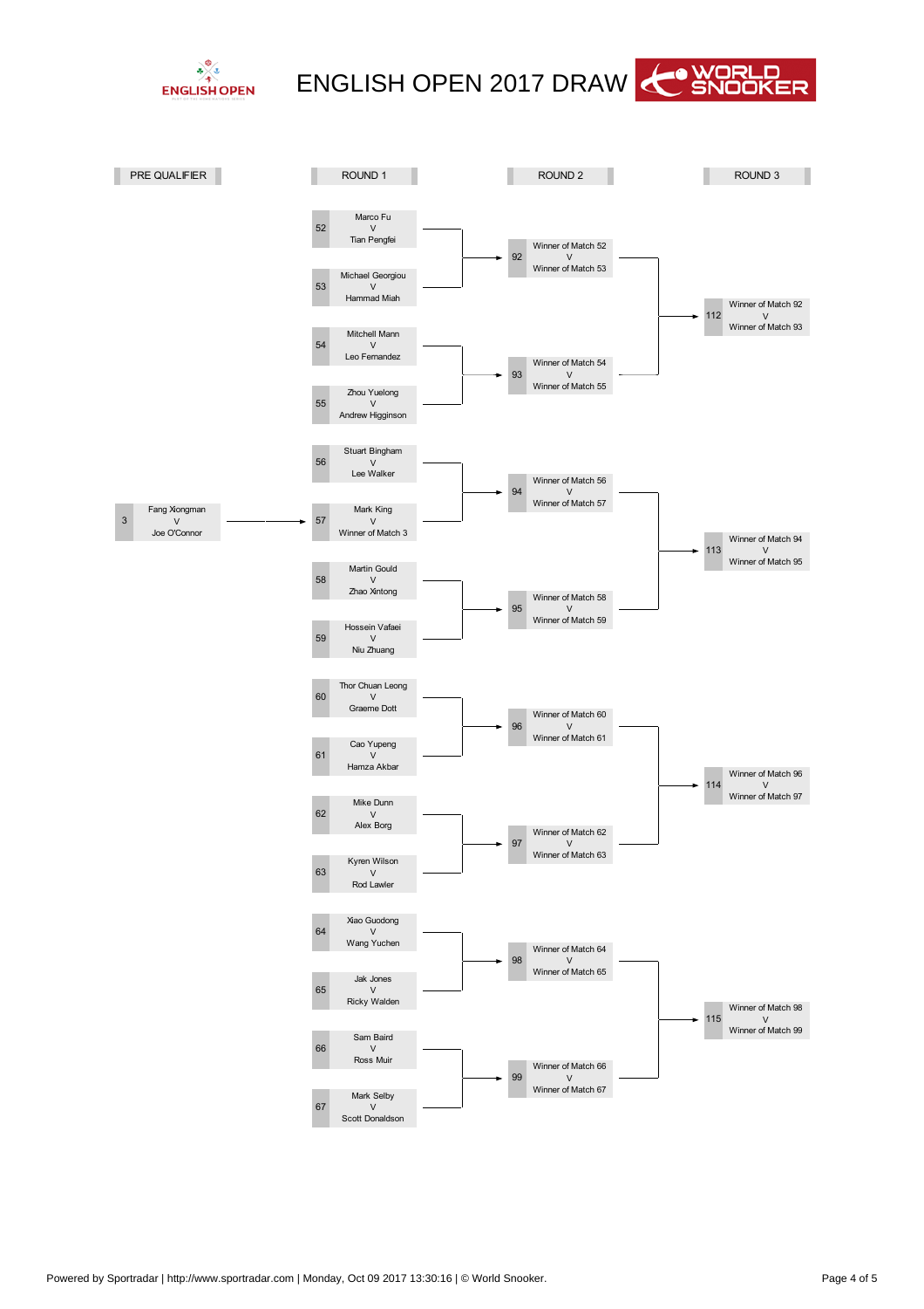